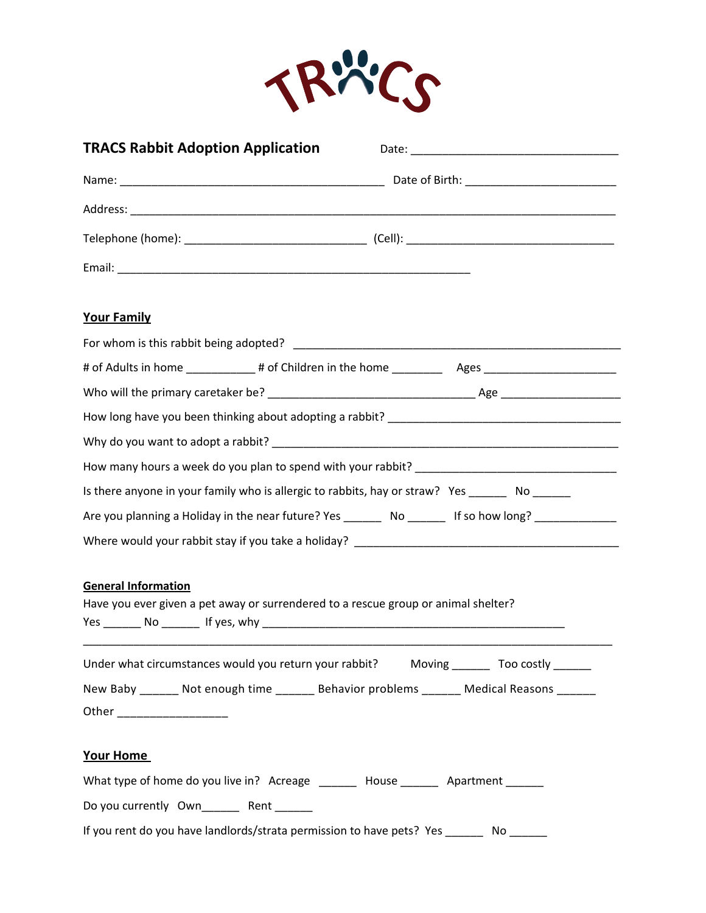

| <b>TRACS Rabbit Adoption Application</b> |                                                                                              |
|------------------------------------------|----------------------------------------------------------------------------------------------|
|                                          |                                                                                              |
|                                          |                                                                                              |
|                                          |                                                                                              |
|                                          |                                                                                              |
| <b>Your Family</b>                       |                                                                                              |
|                                          |                                                                                              |
|                                          |                                                                                              |
|                                          |                                                                                              |
|                                          |                                                                                              |
|                                          |                                                                                              |
|                                          |                                                                                              |
|                                          | Is there anyone in your family who is allergic to rabbits, hay or straw? Yes ______ No _____ |
|                                          |                                                                                              |
|                                          |                                                                                              |
| <b>General Information</b>               | Have you ever given a pet away or surrendered to a rescue group or animal shelter?           |
|                                          | Under what circumstances would you return your rabbit? Moving _______ Too costly ______      |
|                                          | New Baby _______ Not enough time _______ Behavior problems ______ Medical Reasons ______     |
|                                          |                                                                                              |
| Your Home                                |                                                                                              |
|                                          | What type of home do you live in? Acreage _______ House ______ Apartment ______              |
| Do you currently Own Rent                |                                                                                              |
|                                          | If you rent do you have landlords/strata permission to have pets? Yes ______                 |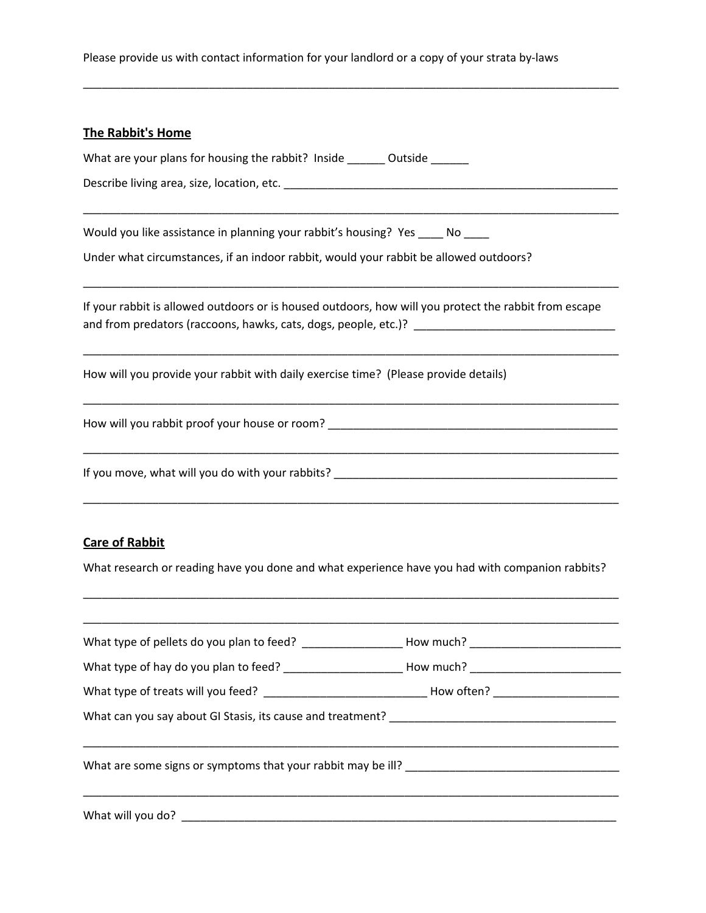## Please provide us with contact information for your landlord or a copy of your strata by-laws

\_\_\_\_\_\_\_\_\_\_\_\_\_\_\_\_\_\_\_\_\_\_\_\_\_\_\_\_\_\_\_\_\_\_\_\_\_\_\_\_\_\_\_\_\_\_\_\_\_\_\_\_\_\_\_\_\_\_\_\_\_\_\_\_\_\_\_\_\_\_\_\_\_\_\_\_\_\_\_\_\_\_\_\_\_

| <b>The Rabbit's Home</b>                                                                                                                                               |
|------------------------------------------------------------------------------------------------------------------------------------------------------------------------|
| What are your plans for housing the rabbit? Inside ________ Outside                                                                                                    |
|                                                                                                                                                                        |
| Would you like assistance in planning your rabbit's housing? Yes ____ No ____<br>Under what circumstances, if an indoor rabbit, would your rabbit be allowed outdoors? |
| If your rabbit is allowed outdoors or is housed outdoors, how will you protect the rabbit from escape                                                                  |
| How will you provide your rabbit with daily exercise time? (Please provide details)                                                                                    |
|                                                                                                                                                                        |
|                                                                                                                                                                        |
| <b>Care of Rabbit</b><br>What research or reading have you done and what experience have you had with companion rabbits?                                               |

| What type of pellets do you plan to feed? _________________________How much? _________________________________ |  |  |  |
|----------------------------------------------------------------------------------------------------------------|--|--|--|
|                                                                                                                |  |  |  |
|                                                                                                                |  |  |  |
|                                                                                                                |  |  |  |
| What are some signs or symptoms that your rabbit may be ill?                                                   |  |  |  |
| What will you do? _________                                                                                    |  |  |  |

\_\_\_\_\_\_\_\_\_\_\_\_\_\_\_\_\_\_\_\_\_\_\_\_\_\_\_\_\_\_\_\_\_\_\_\_\_\_\_\_\_\_\_\_\_\_\_\_\_\_\_\_\_\_\_\_\_\_\_\_\_\_\_\_\_\_\_\_\_\_\_\_\_\_\_\_\_\_\_\_\_\_\_\_\_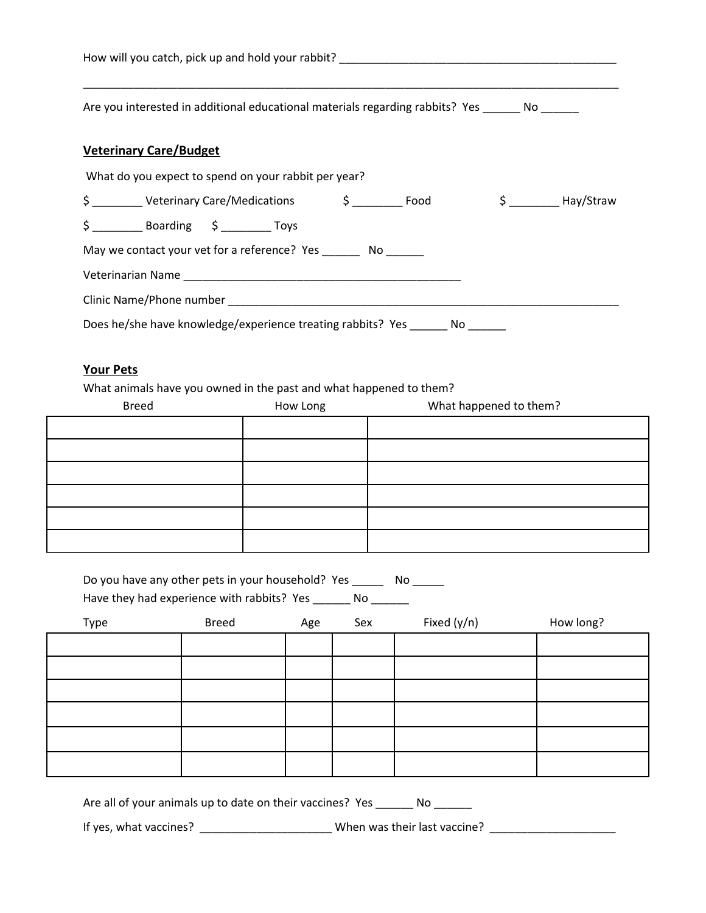| Are you interested in additional educational materials regarding rabbits? Yes ________ No _______                                                                   |  |  |  |
|---------------------------------------------------------------------------------------------------------------------------------------------------------------------|--|--|--|
| <b>Veterinary Care/Budget</b>                                                                                                                                       |  |  |  |
| What do you expect to spend on your rabbit per year?                                                                                                                |  |  |  |
| \$ ___________ Veterinary Care/Medications $\begin{array}{ccc} \xi & \hspace{1.5cm} \text{Food} & \hspace{1.5cm} \xi & \hspace{1.5cm} \text{Hay/Straw} \end{array}$ |  |  |  |
| $$$ ______________ Boarding $$$ _____________ Toys                                                                                                                  |  |  |  |
| May we contact your vet for a reference? Yes _________ No _______                                                                                                   |  |  |  |
|                                                                                                                                                                     |  |  |  |
|                                                                                                                                                                     |  |  |  |
| Does he/she have knowledge/experience treating rabbits? Yes ______ No ____                                                                                          |  |  |  |

## **Your Pets**

What animals have you owned in the past and what happened to them?

| <b>Breed</b> | How Long | What happened to them? |  |  |
|--------------|----------|------------------------|--|--|
|              |          |                        |  |  |
|              |          |                        |  |  |
|              |          |                        |  |  |
|              |          |                        |  |  |
|              |          |                        |  |  |
|              |          |                        |  |  |

| Do you have any other pets in your household? Yes | Nο |
|---------------------------------------------------|----|
| Have they had experience with rabbits? Yes<br>Nο  |    |

| Type | <b>Breed</b> | Age | Sex | Fixed (y/n) | How long? |
|------|--------------|-----|-----|-------------|-----------|
|      |              |     |     |             |           |
|      |              |     |     |             |           |
|      |              |     |     |             |           |
|      |              |     |     |             |           |
|      |              |     |     |             |           |
|      |              |     |     |             |           |

Are all of your animals up to date on their vaccines? Yes \_\_\_\_\_\_ No \_\_\_\_\_\_

If yes, what vaccines? \_\_\_\_\_\_\_\_\_\_\_\_\_\_\_\_\_\_\_\_\_ When was their last vaccine? \_\_\_\_\_\_\_\_\_\_\_\_\_\_\_\_\_\_\_\_